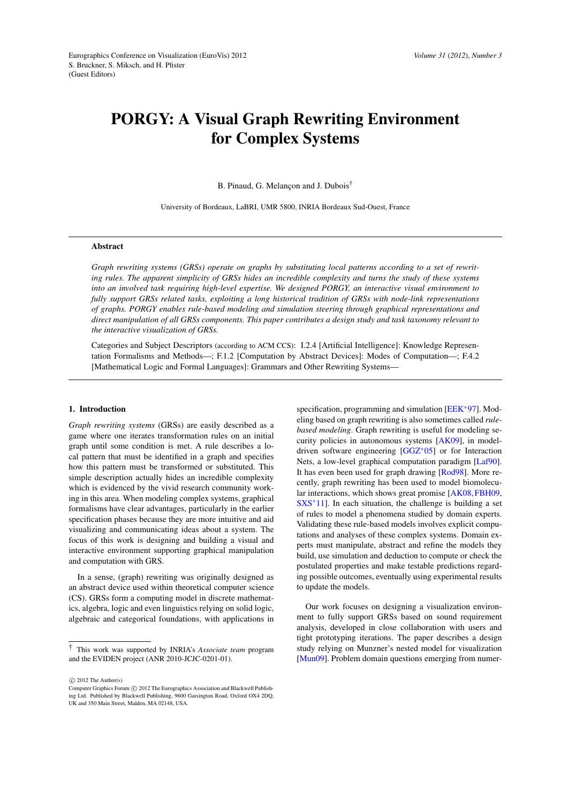# <span id="page-0-0"></span>PORGY: A Visual Graph Rewriting Environment for Complex Systems

B. Pinaud, G. Melançon and J. Dubois†

University of Bordeaux, LaBRI, UMR 5800, INRIA Bordeaux Sud-Ouest, France

## Abstract

*Graph rewriting systems (GRSs) operate on graphs by substituting local patterns according to a set of rewriting rules. The apparent simplicity of GRSs hides an incredible complexity and turns the study of these systems into an involved task requiring high-level expertise. We designed PORGY, an interactive visual environment to fully support GRSs related tasks, exploiting a long historical tradition of GRSs with node-link representations of graphs. PORGY enables rule-based modeling and simulation steering through graphical representations and direct manipulation of all GRSs components. This paper contributes a design study and task taxonomy relevant to the interactive visualization of GRSs.*

Categories and Subject Descriptors (according to ACM CCS): I.2.4 [Artificial Intelligence]: Knowledge Representation Formalisms and Methods—; F.1.2 [Computation by Abstract Devices]: Modes of Computation—; F.4.2 [Mathematical Logic and Formal Languages]: Grammars and Other Rewriting Systems—

#### 1. Introduction

*Graph rewriting systems* (GRSs) are easily described as a game where one iterates transformation rules on an initial graph until some condition is met. A rule describes a local pattern that must be identified in a graph and specifies how this pattern must be transformed or substituted. This simple description actually hides an incredible complexity which is evidenced by the vivid research community working in this area. When modeling complex systems, graphical formalisms have clear advantages, particularly in the earlier specification phases because they are more intuitive and aid visualizing and communicating ideas about a system. The focus of this work is designing and building a visual and interactive environment supporting graphical manipulation and computation with GRS.

In a sense, (graph) rewriting was originally designed as an abstract device used within theoretical computer science (CS). GRSs form a computing model in discrete mathematics, algebra, logic and even linguistics relying on solid logic, algebraic and categorical foundations, with applications in

 $\odot$  2012 The Author(s)

specification, programming and simulation [\[EEK](#page-9-0)<sup>\*97</sup>]. Modeling based on graph rewriting is also sometimes called *rulebased modeling*. Graph rewriting is useful for modeling security policies in autonomous systems [\[AK09\]](#page-9-1), in modeldriven software engineering [\[GGZ](#page-9-2)∗05] or for Interaction Nets, a low-level graphical computation paradigm [\[Laf90\]](#page-9-3). It has even been used for graph drawing [\[Rod98\]](#page-9-4). More recently, graph rewriting has been used to model biomolecular interactions, which shows great promise [\[AK08,](#page-9-5)[FBH09,](#page-9-6)  $SXS*11$  $SXS*11$ ]. In each situation, the challenge is building a set of rules to model a phenomena studied by domain experts. Validating these rule-based models involves explicit computations and analyses of these complex systems. Domain experts must manipulate, abstract and refine the models they build, use simulation and deduction to compute or check the postulated properties and make testable predictions regarding possible outcomes, eventually using experimental results to update the models.

Our work focuses on designing a visualization environment to fully support GRSs based on sound requirement analysis, developed in close collaboration with users and tight prototyping iterations. The paper describes a design study relying on Munzner's nested model for visualization [\[Mun09\]](#page-9-8). Problem domain questions emerging from numer-

<sup>†</sup> This work was supported by INRIA's *Associate team* program and the EVIDEN project (ANR 2010-JCJC-0201-01).

Computer Graphics Forum  $\odot$  2012 The Eurographics Association and Blackwell Publishing Ltd. Published by Blackwell Publishing, 9600 Garsington Road, Oxford OX4 2DQ, UK and 350 Main Street, Malden, MA 02148, USA.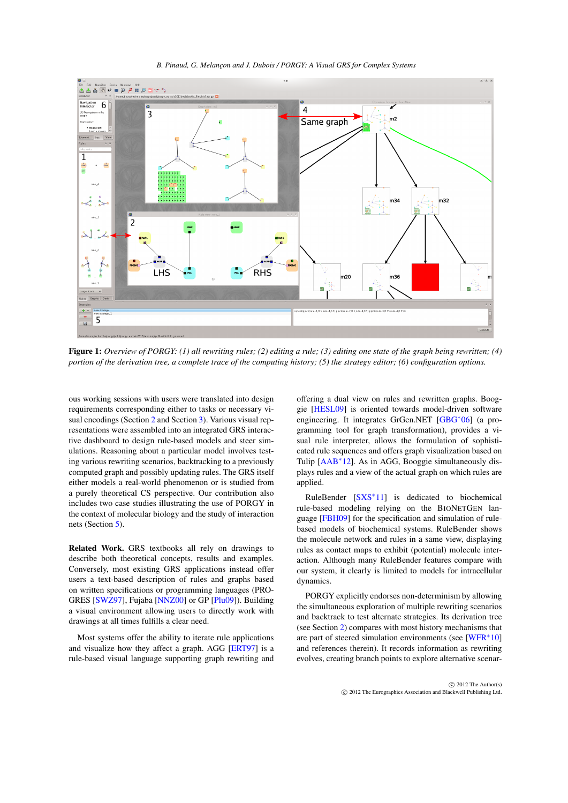

<span id="page-1-1"></span>

<span id="page-1-0"></span>Figure 1: *Overview of PORGY: (1) all rewriting rules; (2) editing a rule; (3) editing one state of the graph being rewritten; (4) portion of the derivation tree, a complete trace of the computing history; (5) the strategy editor; (6) configuration options.*

ous working sessions with users were translated into design requirements corresponding either to tasks or necessary visual encodings (Section [2](#page-2-0) and Section [3\)](#page-4-0). Various visual representations were assembled into an integrated GRS interactive dashboard to design rule-based models and steer simulations. Reasoning about a particular model involves testing various rewriting scenarios, backtracking to a previously computed graph and possibly updating rules. The GRS itself either models a real-world phenomenon or is studied from a purely theoretical CS perspective. Our contribution also includes two case studies illustrating the use of PORGY in the context of molecular biology and the study of interaction nets (Section [5\)](#page-6-0).

Related Work. GRS textbooks all rely on drawings to describe both theoretical concepts, results and examples. Conversely, most existing GRS applications instead offer users a text-based description of rules and graphs based on written specifications or programming languages (PRO-GRES [\[SWZ97\]](#page-9-9), Fujaba [\[NNZ00\]](#page-9-10) or GP [\[Plu09\]](#page-9-11)). Building a visual environment allowing users to directly work with drawings at all times fulfills a clear need.

Most systems offer the ability to iterate rule applications and visualize how they affect a graph. AGG [\[ERT97\]](#page-9-12) is a rule-based visual language supporting graph rewriting and

offering a dual view on rules and rewritten graphs. Booggie [\[HESL09\]](#page-9-13) is oriented towards model-driven software engineering. It integrates GrGen.NET [\[GBG](#page-9-14)∗06] (a programming tool for graph transformation), provides a visual rule interpreter, allows the formulation of sophisticated rule sequences and offers graph visualization based on Tulip [\[AAB](#page-9-15)∗12]. As in AGG, Booggie simultaneously displays rules and a view of the actual graph on which rules are applied.

RuleBender [\[SXS](#page-9-7)∗11] is dedicated to biochemical rule-based modeling relying on the BIONETGEN language [\[FBH09\]](#page-9-6) for the specification and simulation of rulebased models of biochemical systems. RuleBender shows the molecule network and rules in a same view, displaying rules as contact maps to exhibit (potential) molecule interaction. Although many RuleBender features compare with our system, it clearly is limited to models for intracellular dynamics.

PORGY explicitly endorses non-determinism by allowing the simultaneous exploration of multiple rewriting scenarios and backtrack to test alternate strategies. Its derivation tree (see Section [2\)](#page-2-0) compares with most history mechanisms that are part of steered simulation environments (see [\[WFR](#page-9-16)∗10] and references therein). It records information as rewriting evolves, creating branch points to explore alternative scenar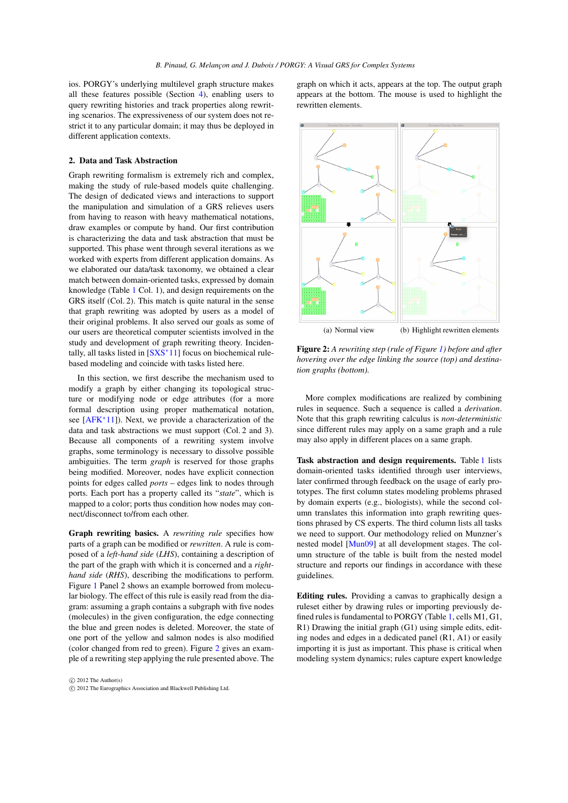<span id="page-2-2"></span>ios. PORGY's underlying multilevel graph structure makes all these features possible (Section [4\)](#page-5-0), enabling users to query rewriting histories and track properties along rewriting scenarios. The expressiveness of our system does not restrict it to any particular domain; it may thus be deployed in different application contexts.

## <span id="page-2-0"></span>2. Data and Task Abstraction

Graph rewriting formalism is extremely rich and complex, making the study of rule-based models quite challenging. The design of dedicated views and interactions to support the manipulation and simulation of a GRS relieves users from having to reason with heavy mathematical notations, draw examples or compute by hand. Our first contribution is characterizing the data and task abstraction that must be supported. This phase went through several iterations as we worked with experts from different application domains. As we elaborated our data/task taxonomy, we obtained a clear match between domain-oriented tasks, expressed by domain knowledge (Table [1](#page-3-0) Col. 1), and design requirements on the GRS itself (Col. 2). This match is quite natural in the sense that graph rewriting was adopted by users as a model of their original problems. It also served our goals as some of our users are theoretical computer scientists involved in the study and development of graph rewriting theory. Incidentally, all tasks listed in [\[SXS](#page-9-7)∗11] focus on biochemical rulebased modeling and coincide with tasks listed here.

In this section, we first describe the mechanism used to modify a graph by either changing its topological structure or modifying node or edge attributes (for a more formal description using proper mathematical notation, see [\[AFK](#page-9-17)<sup>∗</sup>11]). Next, we provide a characterization of the data and task abstractions we must support (Col. 2 and 3). Because all components of a rewriting system involve graphs, some terminology is necessary to dissolve possible ambiguities. The term *graph* is reserved for those graphs being modified. Moreover, nodes have explicit connection points for edges called *ports* – edges link to nodes through ports. Each port has a property called its "*state*", which is mapped to a color; ports thus condition how nodes may connect/disconnect to/from each other.

Graph rewriting basics. A *rewriting rule* specifies how parts of a graph can be modified or *rewritten*. A rule is composed of a *left-hand side* (*LHS*), containing a description of the part of the graph with which it is concerned and a *righthand side* (*RHS*), describing the modifications to perform. Figure [1](#page-1-0) Panel 2 shows an example borrowed from molecular biology. The effect of this rule is easily read from the diagram: assuming a graph contains a subgraph with five nodes (molecules) in the given configuration, the edge connecting the blue and green nodes is deleted. Moreover, the state of one port of the yellow and salmon nodes is also modified (color changed from red to green). Figure [2](#page-2-1) gives an example of a rewriting step applying the rule presented above. The

 $\odot$  2012 The Author(s)  $\odot$  2012 The Eurographics Association and Blackwell Publishing Ltd.

graph on which it acts, appears at the top. The output graph appears at the bottom. The mouse is used to highlight the rewritten elements.



<span id="page-2-1"></span>Figure 2: *A rewriting step (rule of Figure [1\)](#page-1-0) before and after hovering over the edge linking the source (top) and destination graphs (bottom).*

More complex modifications are realized by combining rules in sequence. Such a sequence is called a *derivation*. Note that this graph rewriting calculus is *non-deterministic* since different rules may apply on a same graph and a rule may also apply in different places on a same graph.

Task abstraction and design requirements. Table [1](#page-3-0) lists domain-oriented tasks identified through user interviews, later confirmed through feedback on the usage of early prototypes. The first column states modeling problems phrased by domain experts (e.g., biologists), while the second column translates this information into graph rewriting questions phrased by CS experts. The third column lists all tasks we need to support. Our methodology relied on Munzner's nested model [\[Mun09\]](#page-9-8) at all development stages. The column structure of the table is built from the nested model structure and reports our findings in accordance with these guidelines.

Editing rules. Providing a canvas to graphically design a ruleset either by drawing rules or importing previously defined rules is fundamental to PORGY (Table [1,](#page-3-0) cells M1, G1, R1) Drawing the initial graph (G1) using simple edits, editing nodes and edges in a dedicated panel (R1, A1) or easily importing it is just as important. This phase is critical when modeling system dynamics; rules capture expert knowledge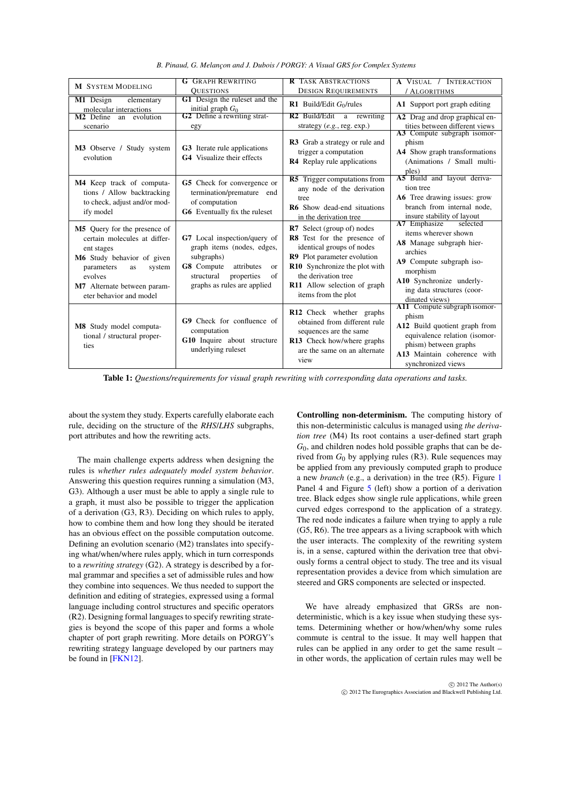<span id="page-3-1"></span>

|                                                                                                                                                                                                             | <b>G</b> GRAPH REWRITING                                                                                                                                                                       | <b>R</b> TASK ABSTRACTIONS                                                                                                                                                                                                                  | A VISUAL / INTERACTION                                                                                                                                                                                      |
|-------------------------------------------------------------------------------------------------------------------------------------------------------------------------------------------------------------|------------------------------------------------------------------------------------------------------------------------------------------------------------------------------------------------|---------------------------------------------------------------------------------------------------------------------------------------------------------------------------------------------------------------------------------------------|-------------------------------------------------------------------------------------------------------------------------------------------------------------------------------------------------------------|
| <b>M</b> SYSTEM MODELING                                                                                                                                                                                    |                                                                                                                                                                                                |                                                                                                                                                                                                                                             |                                                                                                                                                                                                             |
|                                                                                                                                                                                                             | <b>OUESTIONS</b>                                                                                                                                                                               | <b>DESIGN REQUIREMENTS</b>                                                                                                                                                                                                                  | / ALGORITHMS                                                                                                                                                                                                |
| M1 Design<br>elementary                                                                                                                                                                                     | <b>G1</b> Design the ruleset and the                                                                                                                                                           | <b>R1</b> Build/Edit $G_0$ /rules                                                                                                                                                                                                           | A1 Support port graph editing                                                                                                                                                                               |
| molecular interactions                                                                                                                                                                                      | initial graph $G_0$                                                                                                                                                                            |                                                                                                                                                                                                                                             |                                                                                                                                                                                                             |
| M <sub>2</sub> Define an<br>evolution                                                                                                                                                                       | G <sub>2</sub> Define a rewriting strat-                                                                                                                                                       | <b>R2</b> Build/Edit a rewriting                                                                                                                                                                                                            | A2 Drag and drop graphical en-                                                                                                                                                                              |
| scenario                                                                                                                                                                                                    | egy                                                                                                                                                                                            | strategy $(e.g., \text{reg.} \exp.)$                                                                                                                                                                                                        | tities between different views                                                                                                                                                                              |
| M3 Observe / Study system<br>evolution                                                                                                                                                                      | G3 Iterate rule applications<br>G4 Visualize their effects                                                                                                                                     | <b>R3</b> Grab a strategy or rule and<br>trigger a computation<br><b>R4</b> Replay rule applications                                                                                                                                        | A3 Compute subgraph isomor-<br>phism<br>A4 Show graph transformations<br>(Animations / Small multi-<br>ples)                                                                                                |
| M4 Keep track of computa-<br>tions / Allow backtracking<br>to check, adjust and/or mod-<br>ify model                                                                                                        | G5 Check for convergence or<br>termination/premature end<br>of computation<br>G6 Eventually fix the ruleset                                                                                    | R5 Trigger computations from<br>any node of the derivation<br>tree<br><b>R6</b> Show dead-end situations<br>in the derivation tree                                                                                                          | A5 Build and layout deriva-<br>tion tree<br><b>A6</b> Tree drawing issues: grow<br>branch from internal node.<br>insure stability of layout                                                                 |
| M5 Query for the presence of<br>certain molecules at differ-<br>ent stages<br>M6 Study behavior of given<br>parameters<br>system<br>as<br>evolves<br>M7 Alternate between param-<br>eter behavior and model | G7 Local inspection/query of<br>graph items (nodes, edges,<br>subgraphs)<br>G8 Compute<br>attributes<br><sub>or</sub><br>structural<br>properties<br>$\alpha$ f<br>graphs as rules are applied | <b>R7</b> Select (group of) nodes<br>R8 Test for the presence of<br>identical groups of nodes<br>R9 Plot parameter evolution<br>R10 Synchronize the plot with<br>the derivation tree<br>R11 Allow selection of graph<br>items from the plot | A7 Emphasize<br>selected<br>items wherever shown<br>A8 Manage subgraph hier-<br>archies<br>A9 Compute subgraph iso-<br>morphism<br>A10 Synchronize underly-<br>ing data structures (coor-<br>dinated views) |
| M8 Study model computa-<br>tional / structural proper-<br>ties                                                                                                                                              | G9 Check for confluence of<br>computation<br>G10 Inquire about structure<br>underlying ruleset                                                                                                 | R <sub>12</sub> Check whether graphs<br>obtained from different rule<br>sequences are the same<br>R13 Check how/where graphs<br>are the same on an alternate<br>view                                                                        | A11 Compute subgraph isomor-<br>phism<br>A12 Build quotient graph from<br>equivalence relation (isomor-<br>phism) between graphs<br>A13 Maintain coherence with<br>synchronized views                       |

*B. Pinaud, G. Melançon and J. Dubois / PORGY: A Visual GRS for Complex Systems*

<span id="page-3-0"></span>Table 1: *Questions/requirements for visual graph rewriting with corresponding data operations and tasks.*

about the system they study. Experts carefully elaborate each rule, deciding on the structure of the *RHS*/*LHS* subgraphs, port attributes and how the rewriting acts.

The main challenge experts address when designing the rules is *whether rules adequately model system behavior*. Answering this question requires running a simulation (M3, G3). Although a user must be able to apply a single rule to a graph, it must also be possible to trigger the application of a derivation (G3, R3). Deciding on which rules to apply, how to combine them and how long they should be iterated has an obvious effect on the possible computation outcome. Defining an evolution scenario (M2) translates into specifying what/when/where rules apply, which in turn corresponds to a *rewriting strategy* (G2). A strategy is described by a formal grammar and specifies a set of admissible rules and how they combine into sequences. We thus needed to support the definition and editing of strategies, expressed using a formal language including control structures and specific operators (R2). Designing formal languages to specify rewriting strategies is beyond the scope of this paper and forms a whole chapter of port graph rewriting. More details on PORGY's rewriting strategy language developed by our partners may be found in [\[FKN12\]](#page-9-18).

Controlling non-determinism. The computing history of this non-deterministic calculus is managed using *the derivation tree* (M4) Its root contains a user-defined start graph *G*0, and children nodes hold possible graphs that can be derived from  $G_0$  by applying rules (R3). Rule sequences may be applied from any previously computed graph to produce a new *branch* (e.g., a derivation) in the tree (R5). Figure [1](#page-1-0) Panel 4 and Figure [5](#page-7-0) (left) show a portion of a derivation tree. Black edges show single rule applications, while green curved edges correspond to the application of a strategy. The red node indicates a failure when trying to apply a rule (G5, R6). The tree appears as a living scrapbook with which the user interacts. The complexity of the rewriting system is, in a sense, captured within the derivation tree that obviously forms a central object to study. The tree and its visual representation provides a device from which simulation are steered and GRS components are selected or inspected.

We have already emphasized that GRSs are nondeterministic, which is a key issue when studying these systems. Determining whether or how/when/why some rules commute is central to the issue. It may well happen that rules can be applied in any order to get the same result – in other words, the application of certain rules may well be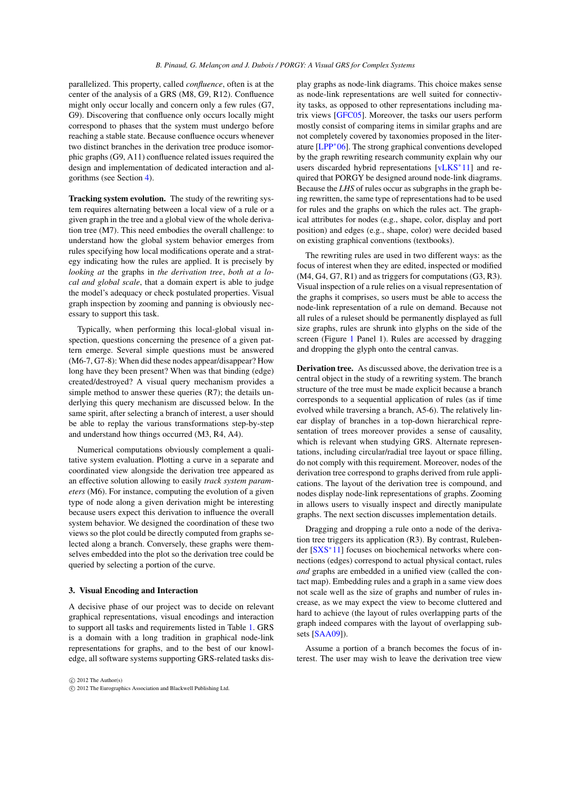<span id="page-4-1"></span>parallelized. This property, called *confluence*, often is at the center of the analysis of a GRS (M8, G9, R12). Confluence might only occur locally and concern only a few rules (G7, G9). Discovering that confluence only occurs locally might correspond to phases that the system must undergo before reaching a stable state. Because confluence occurs whenever two distinct branches in the derivation tree produce isomorphic graphs (G9, A11) confluence related issues required the design and implementation of dedicated interaction and algorithms (see Section [4\)](#page-5-0).

Tracking system evolution. The study of the rewriting system requires alternating between a local view of a rule or a given graph in the tree and a global view of the whole derivation tree (M7). This need embodies the overall challenge: to understand how the global system behavior emerges from rules specifying how local modifications operate and a strategy indicating how the rules are applied. It is precisely by *looking at* the graphs in *the derivation tree*, *both at a local and global scale*, that a domain expert is able to judge the model's adequacy or check postulated properties. Visual graph inspection by zooming and panning is obviously necessary to support this task.

Typically, when performing this local-global visual inspection, questions concerning the presence of a given pattern emerge. Several simple questions must be answered (M6-7, G7-8): When did these nodes appear/disappear? How long have they been present? When was that binding (edge) created/destroyed? A visual query mechanism provides a simple method to answer these queries (R7); the details underlying this query mechanism are discussed below. In the same spirit, after selecting a branch of interest, a user should be able to replay the various transformations step-by-step and understand how things occurred (M3, R4, A4).

Numerical computations obviously complement a qualitative system evaluation. Plotting a curve in a separate and coordinated view alongside the derivation tree appeared as an effective solution allowing to easily *track system parameters* (M6). For instance, computing the evolution of a given type of node along a given derivation might be interesting because users expect this derivation to influence the overall system behavior. We designed the coordination of these two views so the plot could be directly computed from graphs selected along a branch. Conversely, these graphs were themselves embedded into the plot so the derivation tree could be queried by selecting a portion of the curve.

#### <span id="page-4-0"></span>3. Visual Encoding and Interaction

A decisive phase of our project was to decide on relevant graphical representations, visual encodings and interaction to support all tasks and requirements listed in Table [1.](#page-3-0) GRS is a domain with a long tradition in graphical node-link representations for graphs, and to the best of our knowledge, all software systems supporting GRS-related tasks dis-

 $\odot$  2012 The Author(s) c 2012 The Eurographics Association and Blackwell Publishing Ltd.

play graphs as node-link diagrams. This choice makes sense as node-link representations are well suited for connectivity tasks, as opposed to other representations including matrix views [\[GFC05\]](#page-9-19). Moreover, the tasks our users perform mostly consist of comparing items in similar graphs and are not completely covered by taxonomies proposed in the literature [\[LPP](#page-9-20)∗06]. The strong graphical conventions developed by the graph rewriting research community explain why our users discarded hybrid representations [\[vLKS](#page-9-21)∗11] and required that PORGY be designed around node-link diagrams. Because the *LHS* of rules occur as subgraphs in the graph being rewritten, the same type of representations had to be used for rules and the graphs on which the rules act. The graphical attributes for nodes (e.g., shape, color, display and port position) and edges (e.g., shape, color) were decided based on existing graphical conventions (textbooks).

The rewriting rules are used in two different ways: as the focus of interest when they are edited, inspected or modified (M4, G4, G7, R1) and as triggers for computations (G3, R3). Visual inspection of a rule relies on a visual representation of the graphs it comprises, so users must be able to access the node-link representation of a rule on demand. Because not all rules of a ruleset should be permanently displayed as full size graphs, rules are shrunk into glyphs on the side of the screen (Figure [1](#page-1-0) Panel 1). Rules are accessed by dragging and dropping the glyph onto the central canvas.

Derivation tree. As discussed above, the derivation tree is a central object in the study of a rewriting system. The branch structure of the tree must be made explicit because a branch corresponds to a sequential application of rules (as if time evolved while traversing a branch, A5-6). The relatively linear display of branches in a top-down hierarchical representation of trees moreover provides a sense of causality, which is relevant when studying GRS. Alternate representations, including circular/radial tree layout or space filling, do not comply with this requirement. Moreover, nodes of the derivation tree correspond to graphs derived from rule applications. The layout of the derivation tree is compound, and nodes display node-link representations of graphs. Zooming in allows users to visually inspect and directly manipulate graphs. The next section discusses implementation details.

Dragging and dropping a rule onto a node of the derivation tree triggers its application (R3). By contrast, Rulebender [\[SXS](#page-9-7)∗11] focuses on biochemical networks where connections (edges) correspond to actual physical contact, rules *and* graphs are embedded in a unified view (called the contact map). Embedding rules and a graph in a same view does not scale well as the size of graphs and number of rules increase, as we may expect the view to become cluttered and hard to achieve (the layout of rules overlapping parts of the graph indeed compares with the layout of overlapping subsets [\[SAA09\]](#page-9-22)).

Assume a portion of a branch becomes the focus of interest. The user may wish to leave the derivation tree view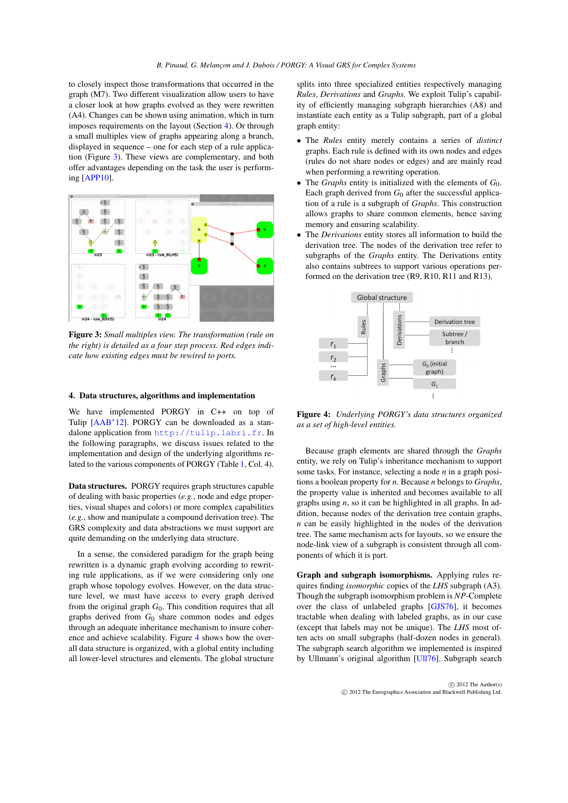<span id="page-5-3"></span>to closely inspect those transformations that occurred in the graph (M7). Two different visualization allow users to have a closer look at how graphs evolved as they were rewritten (A4). Changes can be shown using animation, which in turn imposes requirements on the layout (Section [4\)](#page-5-0). Or through a small multiples view of graphs appearing along a branch, displayed in sequence – one for each step of a rule application (Figure [3\)](#page-5-1). These views are complementary, and both offer advantages depending on the task the user is performing [\[APP10\]](#page-9-23).



<span id="page-5-1"></span>Figure 3: *Small multiples view. The transformation (rule on the right) is detailed as a four step process. Red edges indicate how existing edges must be rewired to ports.*

## <span id="page-5-0"></span>4. Data structures, algorithms and implementation

We have implemented PORGY in C++ on top of Tulip [\[AAB](#page-9-15)∗12]. PORGY can be downloaded as a standalone application from <http://tulip.labri.fr>. In the following paragraphs, we discuss issues related to the implementation and design of the underlying algorithms related to the various components of PORGY (Table [1,](#page-3-0) Col. 4).

Data structures. PORGY requires graph structures capable of dealing with basic properties (*e.g.*, node and edge properties, visual shapes and colors) or more complex capabilities (*e.g.*, show and manipulate a compound derivation tree). The GRS complexity and data abstractions we must support are quite demanding on the underlying data structure.

In a sense, the considered paradigm for the graph being rewritten is a dynamic graph evolving according to rewriting rule applications, as if we were considering only one graph whose topology evolves. However, on the data structure level, we must have access to every graph derived from the original graph  $G_0$ . This condition requires that all graphs derived from *G*<sup>0</sup> share common nodes and edges through an adequate inheritance mechanism to insure coherence and achieve scalability. Figure [4](#page-5-2) shows how the overall data structure is organized, with a global entity including all lower-level structures and elements. The global structure

splits into three specialized entities respectively managing *Rules*, *Derivations* and *Graphs*. We exploit Tulip's capability of efficiently managing subgraph hierarchies (A8) and instantiate each entity as a Tulip subgraph, part of a global graph entity:

- The *Rules* entity merely contains a series of *distinct* graphs. Each rule is defined with its own nodes and edges (rules do not share nodes or edges) and are mainly read when performing a rewriting operation.
- The *Graphs* entity is initialized with the elements of  $G_0$ . Each graph derived from  $G_0$  after the successful application of a rule is a subgraph of *Graphs*. This construction allows graphs to share common elements, hence saving memory and ensuring scalability.
- The *Derivations* entity stores all information to build the derivation tree. The nodes of the derivation tree refer to subgraphs of the *Graphs* entity. The Derivations entity also contains subtrees to support various operations performed on the derivation tree (R9, R10, R11 and R13).



<span id="page-5-2"></span>Figure 4: *Underlying PORGY's data structures organized as a set of high-level entities.*

Because graph elements are shared through the *Graphs* entity, we rely on Tulip's inheritance mechanism to support some tasks. For instance, selecting a node *n* in a graph positions a boolean property for *n*. Because *n* belongs to *Graphs*, the property value is inherited and becomes available to all graphs using *n*, so it can be highlighted in all graphs. In addition, because nodes of the derivation tree contain graphs, *n* can be easily highlighted in the nodes of the derivation tree. The same mechanism acts for layouts, so we ensure the node-link view of a subgraph is consistent through all components of which it is part.

Graph and subgraph isomorphisms. Applying rules requires finding *isomorphic* copies of the *LHS* subgraph (A3). Though the subgraph isomorphism problem is *NP*-Complete over the class of unlabeled graphs [\[GJS76\]](#page-9-24), it becomes tractable when dealing with labeled graphs, as in our case (except that labels may not be unique). The *LHS* most often acts on small subgraphs (half-dozen nodes in general). The subgraph search algorithm we implemented is inspired by Ullmann's original algorithm [\[Ull76\]](#page-9-25). Subgraph search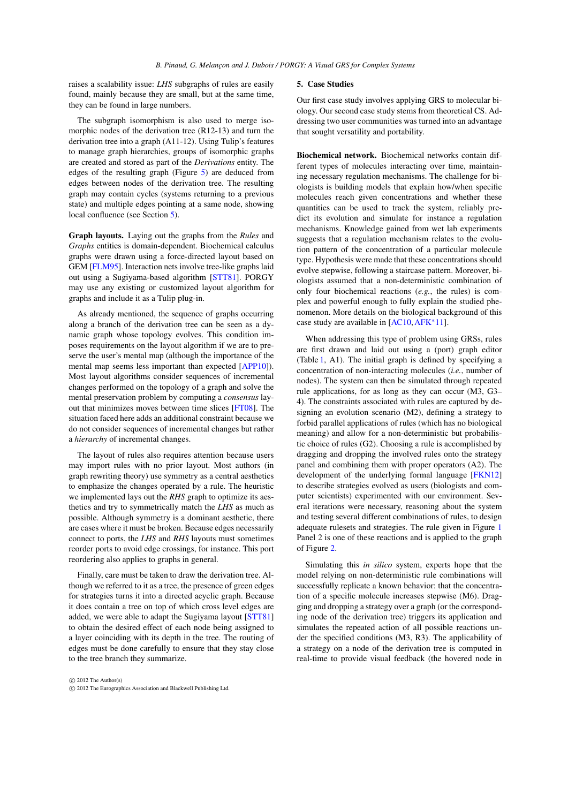<span id="page-6-1"></span>raises a scalability issue: *LHS* subgraphs of rules are easily found, mainly because they are small, but at the same time, they can be found in large numbers.

The subgraph isomorphism is also used to merge isomorphic nodes of the derivation tree (R12-13) and turn the derivation tree into a graph (A11-12). Using Tulip's features to manage graph hierarchies, groups of isomorphic graphs are created and stored as part of the *Derivations* entity. The edges of the resulting graph (Figure [5\)](#page-7-0) are deduced from edges between nodes of the derivation tree. The resulting graph may contain cycles (systems returning to a previous state) and multiple edges pointing at a same node, showing local confluence (see Section [5\)](#page-6-0).

Graph layouts. Laying out the graphs from the *Rules* and *Graphs* entities is domain-dependent. Biochemical calculus graphs were drawn using a force-directed layout based on GEM [\[FLM95\]](#page-9-26). Interaction nets involve tree-like graphs laid out using a Sugiyama-based algorithm [\[STT81\]](#page-9-27). PORGY may use any existing or customized layout algorithm for graphs and include it as a Tulip plug-in.

As already mentioned, the sequence of graphs occurring along a branch of the derivation tree can be seen as a dynamic graph whose topology evolves. This condition imposes requirements on the layout algorithm if we are to preserve the user's mental map (although the importance of the mental map seems less important than expected [\[APP10\]](#page-9-23)). Most layout algorithms consider sequences of incremental changes performed on the topology of a graph and solve the mental preservation problem by computing a *consensus* layout that minimizes moves between time slices [\[FT08\]](#page-9-28). The situation faced here adds an additional constraint because we do not consider sequences of incremental changes but rather a *hierarchy* of incremental changes.

The layout of rules also requires attention because users may import rules with no prior layout. Most authors (in graph rewriting theory) use symmetry as a central aesthetics to emphasize the changes operated by a rule. The heuristic we implemented lays out the *RHS* graph to optimize its aesthetics and try to symmetrically match the *LHS* as much as possible. Although symmetry is a dominant aesthetic, there are cases where it must be broken. Because edges necessarily connect to ports, the *LHS* and *RHS* layouts must sometimes reorder ports to avoid edge crossings, for instance. This port reordering also applies to graphs in general.

Finally, care must be taken to draw the derivation tree. Although we referred to it as a tree, the presence of green edges for strategies turns it into a directed acyclic graph. Because it does contain a tree on top of which cross level edges are added, we were able to adapt the Sugiyama layout [\[STT81\]](#page-9-27) to obtain the desired effect of each node being assigned to a layer coinciding with its depth in the tree. The routing of edges must be done carefully to ensure that they stay close to the tree branch they summarize.

#### <span id="page-6-0"></span>5. Case Studies

Our first case study involves applying GRS to molecular biology. Our second case study stems from theoretical CS. Addressing two user communities was turned into an advantage that sought versatility and portability.

Biochemical network. Biochemical networks contain different types of molecules interacting over time, maintaining necessary regulation mechanisms. The challenge for biologists is building models that explain how/when specific molecules reach given concentrations and whether these quantities can be used to track the system, reliably predict its evolution and simulate for instance a regulation mechanisms. Knowledge gained from wet lab experiments suggests that a regulation mechanism relates to the evolution pattern of the concentration of a particular molecule type. Hypothesis were made that these concentrations should evolve stepwise, following a staircase pattern. Moreover, biologists assumed that a non-deterministic combination of only four biochemical reactions (*e.g.*, the rules) is complex and powerful enough to fully explain the studied phenomenon. More details on the biological background of this case study are available in [\[AC10,](#page-9-29)[AFK](#page-9-17)∗11].

When addressing this type of problem using GRSs, rules are first drawn and laid out using a (port) graph editor (Table [1,](#page-3-0) A1). The initial graph is defined by specifying a concentration of non-interacting molecules (*i.e.*, number of nodes). The system can then be simulated through repeated rule applications, for as long as they can occur (M3, G3– 4). The constraints associated with rules are captured by designing an evolution scenario (M2), defining a strategy to forbid parallel applications of rules (which has no biological meaning) and allow for a non-deterministic but probabilistic choice of rules (G2). Choosing a rule is accomplished by dragging and dropping the involved rules onto the strategy panel and combining them with proper operators (A2). The development of the underlying formal language [\[FKN12\]](#page-9-18) to describe strategies evolved as users (biologists and computer scientists) experimented with our environment. Several iterations were necessary, reasoning about the system and testing several different combinations of rules, to design adequate rulesets and strategies. The rule given in Figure [1](#page-1-0) Panel 2 is one of these reactions and is applied to the graph of Figure [2.](#page-2-1)

Simulating this *in silico* system, experts hope that the model relying on non-deterministic rule combinations will successfully replicate a known behavior: that the concentration of a specific molecule increases stepwise (M6). Dragging and dropping a strategy over a graph (or the corresponding node of the derivation tree) triggers its application and simulates the repeated action of all possible reactions under the specified conditions (M3, R3). The applicability of a strategy on a node of the derivation tree is computed in real-time to provide visual feedback (the hovered node in

 $\odot$  2012 The Author(s) c 2012 The Eurographics Association and Blackwell Publishing Ltd.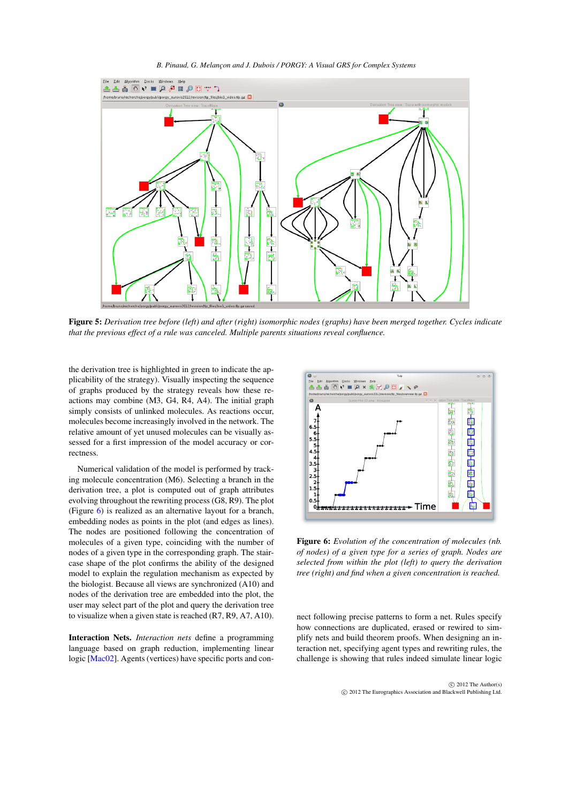#### *B. Pinaud, G. Melançon and J. Dubois / PORGY: A Visual GRS for Complex Systems*

<span id="page-7-2"></span>

<span id="page-7-0"></span>Figure 5: *Derivation tree before (left) and after (right) isomorphic nodes (graphs) have been merged together. Cycles indicate that the previous effect of a rule was canceled. Multiple parents situations reveal confluence.*

the derivation tree is highlighted in green to indicate the applicability of the strategy). Visually inspecting the sequence of graphs produced by the strategy reveals how these reactions may combine (M3, G4, R4, A4). The initial graph simply consists of unlinked molecules. As reactions occur, molecules become increasingly involved in the network. The relative amount of yet unused molecules can be visually assessed for a first impression of the model accuracy or correctness.

Numerical validation of the model is performed by tracking molecule concentration (M6). Selecting a branch in the derivation tree, a plot is computed out of graph attributes evolving throughout the rewriting process (G8, R9). The plot (Figure [6\)](#page-7-1) is realized as an alternative layout for a branch, embedding nodes as points in the plot (and edges as lines). The nodes are positioned following the concentration of molecules of a given type, coinciding with the number of nodes of a given type in the corresponding graph. The staircase shape of the plot confirms the ability of the designed model to explain the regulation mechanism as expected by the biologist. Because all views are synchronized (A10) and nodes of the derivation tree are embedded into the plot, the user may select part of the plot and query the derivation tree to visualize when a given state is reached (R7, R9, A7, A10).

Interaction Nets. *Interaction nets* define a programming language based on graph reduction, implementing linear logic [\[Mac02\]](#page-9-30). Agents (vertices) have specific ports and con-



<span id="page-7-1"></span>Figure 6: *Evolution of the concentration of molecules (nb. of nodes) of a given type for a series of graph. Nodes are selected from within the plot (left) to query the derivation tree (right) and find when a given concentration is reached.*

nect following precise patterns to form a net. Rules specify how connections are duplicated, erased or rewired to simplify nets and build theorem proofs. When designing an interaction net, specifying agent types and rewriting rules, the challenge is showing that rules indeed simulate linear logic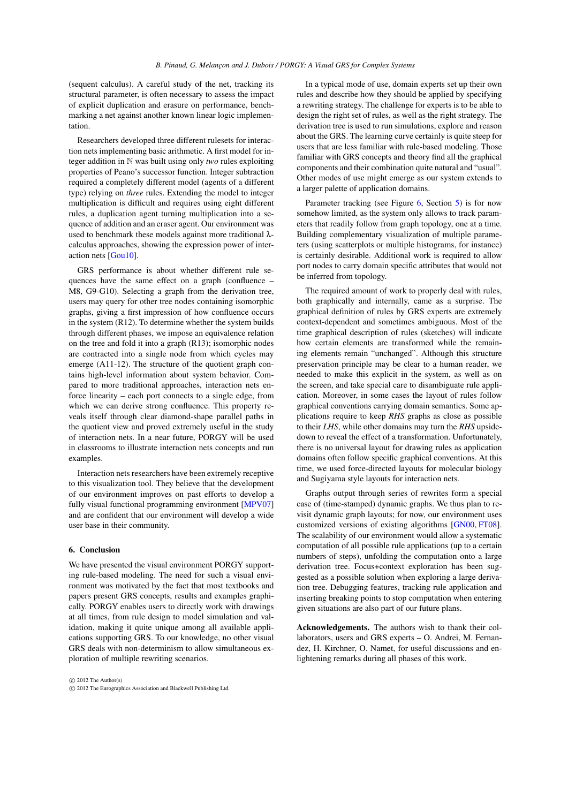<span id="page-8-0"></span>(sequent calculus). A careful study of the net, tracking its structural parameter, is often necessary to assess the impact of explicit duplication and erasure on performance, benchmarking a net against another known linear logic implementation.

Researchers developed three different rulesets for interaction nets implementing basic arithmetic. A first model for integer addition in N was built using only *two* rules exploiting properties of Peano's successor function. Integer subtraction required a completely different model (agents of a different type) relying on *three* rules. Extending the model to integer multiplication is difficult and requires using eight different rules, a duplication agent turning multiplication into a sequence of addition and an eraser agent. Our environment was used to benchmark these models against more traditional λcalculus approaches, showing the expression power of interaction nets [\[Gou10\]](#page-9-31).

GRS performance is about whether different rule sequences have the same effect on a graph (confluence – M8, G9-G10). Selecting a graph from the derivation tree, users may query for other tree nodes containing isomorphic graphs, giving a first impression of how confluence occurs in the system (R12). To determine whether the system builds through different phases, we impose an equivalence relation on the tree and fold it into a graph (R13); isomorphic nodes are contracted into a single node from which cycles may emerge (A11-12). The structure of the quotient graph contains high-level information about system behavior. Compared to more traditional approaches, interaction nets enforce linearity – each port connects to a single edge, from which we can derive strong confluence. This property reveals itself through clear diamond-shape parallel paths in the quotient view and proved extremely useful in the study of interaction nets. In a near future, PORGY will be used in classrooms to illustrate interaction nets concepts and run examples.

Interaction nets researchers have been extremely receptive to this visualization tool. They believe that the development of our environment improves on past efforts to develop a fully visual functional programming environment [\[MPV07\]](#page-9-32) and are confident that our environment will develop a wide user base in their community.

## 6. Conclusion

We have presented the visual environment PORGY supporting rule-based modeling. The need for such a visual environment was motivated by the fact that most textbooks and papers present GRS concepts, results and examples graphically. PORGY enables users to directly work with drawings at all times, from rule design to model simulation and validation, making it quite unique among all available applications supporting GRS. To our knowledge, no other visual GRS deals with non-determinism to allow simultaneous exploration of multiple rewriting scenarios.

 $\odot$  2012 The Author(s) c 2012 The Eurographics Association and Blackwell Publishing Ltd.

In a typical mode of use, domain experts set up their own rules and describe how they should be applied by specifying a rewriting strategy. The challenge for experts is to be able to design the right set of rules, as well as the right strategy. The derivation tree is used to run simulations, explore and reason about the GRS. The learning curve certainly is quite steep for users that are less familiar with rule-based modeling. Those familiar with GRS concepts and theory find all the graphical components and their combination quite natural and "usual". Other modes of use might emerge as our system extends to a larger palette of application domains.

Parameter tracking (see Figure [6,](#page-7-1) Section [5\)](#page-6-0) is for now somehow limited, as the system only allows to track parameters that readily follow from graph topology, one at a time. Building complementary visualization of multiple parameters (using scatterplots or multiple histograms, for instance) is certainly desirable. Additional work is required to allow port nodes to carry domain specific attributes that would not be inferred from topology.

The required amount of work to properly deal with rules, both graphically and internally, came as a surprise. The graphical definition of rules by GRS experts are extremely context-dependent and sometimes ambiguous. Most of the time graphical description of rules (sketches) will indicate how certain elements are transformed while the remaining elements remain "unchanged". Although this structure preservation principle may be clear to a human reader, we needed to make this explicit in the system, as well as on the screen, and take special care to disambiguate rule application. Moreover, in some cases the layout of rules follow graphical conventions carrying domain semantics. Some applications require to keep *RHS* graphs as close as possible to their *LHS*, while other domains may turn the *RHS* upsidedown to reveal the effect of a transformation. Unfortunately, there is no universal layout for drawing rules as application domains often follow specific graphical conventions. At this time, we used force-directed layouts for molecular biology and Sugiyama style layouts for interaction nets.

Graphs output through series of rewrites form a special case of (time-stamped) dynamic graphs. We thus plan to revisit dynamic graph layouts; for now, our environment uses customized versions of existing algorithms [\[GN00,](#page-9-33) [FT08\]](#page-9-28). The scalability of our environment would allow a systematic computation of all possible rule applications (up to a certain numbers of steps), unfolding the computation onto a large derivation tree. Focus+context exploration has been suggested as a possible solution when exploring a large derivation tree. Debugging features, tracking rule application and inserting breaking points to stop computation when entering given situations are also part of our future plans.

Acknowledgements. The authors wish to thank their collaborators, users and GRS experts – O. Andrei, M. Fernandez, H. Kirchner, O. Namet, for useful discussions and enlightening remarks during all phases of this work.